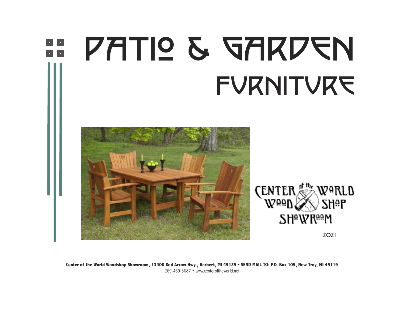

Center of the World Woodshop Showroom, 13400 Red Arrow Hwy., Harbert, MI 49125 . SEND MAIL TO: P.O. Box 105, New Troy, MI 49119 269-469-5687 • www.centeroftheworld.net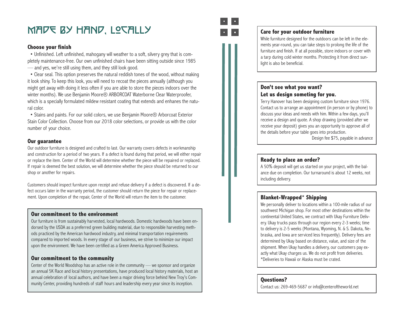#### MADE BY HAND, LOCALLY

#### **Choose your finish**

• Unfinished. Left unfinished, mahogany will weather to a soft, silvery grey that is completely maintenance-free. Our own unfinished chairs have been sitting outside since 1985 — and yes, we're still using them, and they still look good.

• Clear seal. This option preserves the natural reddish tones of the wood, without making it look shiny. To keep this look, you will need to recoat the pieces annually (although you might get away with doing it less often if you are able to store the pieces indoors over the winter months). We use Benjamin Moore® ARBORCOAT Waterborne Clear Waterproofer, which is a specially formulated mildew resistant coating that extends and enhanes the natural color.

• Stains and paints. For our solid colors, we use Benjamin Moore® Arborcoat Exterior Stain Color Collection. Choose from our 2018 color selections, or provide us with the color number of your choice.

#### **Our guarantee**

Our outdoor furniture is designed and crafted to last. Our warranty covers defects in workmanship and construction for a period of two years. If a defect is found during that period, we will either repair or replace the item. Center of the World will determine whether the piece will be repaired or replaced. If repair is deemed the best solution, we will determine whether the piece should be returned to our shop or another for repairs.

Customers should inspect furniture upon receipt and refuse delivery if a defect is discovered. If a defect occurs later in the warranty period, the customer should return the piece for repair or replacement. Upon completion of the repair, Center of the World will return the item to the customer.

#### **Our commitment to the environment**

Our furniture is from sustainably harvested, local hardwoods. Domestic hardwoods have been endorsed by the USDA as a preferred green building material, due to responsible harvesting methods practiced by the American hardwood industry, and minimal transportation requirements compared to imported woods. In every stage of our business, we strive to minimize our impact upon the environment. We have been certified as a Green America Approved Business.

#### **Our commitment to the community**

Center of the World Woodshop has an active role in the community — we sponsor and organize an annual 5K Race and local history presentations, have produced local history materials, host an annual celebration of local authors, and have been a major driving force behind New Troy's Comannual delebration of local authors, and have been a major driving lorde bening New Troy's Com-<br>munity Center, providing hundreds of staff hours and leadership every year since its inception.



#### **Care for your outdoor furniture**

While furniture designed for the outdoors can be left in the elements year-round, you can take steps to prolong the life of the furniture and finish. If at all possible, store indoors or cover with a tarp during cold winter months. Protecting it from direct sunlight is also be beneficial.

#### **Don't see what you want? Let us design someting for you.**

Terry Hanover has been designing custom furniture since 1976. Contact us to arrange an appointment (in person or by phone) to discuss your ideas and needs with him. Within a few days, you'll receive a design and quote. A shop drawing (provided after we receive your deposit) gives you an opportunity to approve all of the details before your table goes into production.

Design fee \$75, payable in advance

#### **Ready to place an order?**

A 50% deposit will get us started on your project, with the balance due on completion. Our turnaround is about 12 weeks, not including delivery.

#### **Blanket-Wrapped\* Shipping**

We personally deliver to locations within a 100-mile radius of our southwest Michigan shop. For most other destinations within the continental United States, we contract with Ukay Furniture Delivery. Ukay trucks pass through our region every 2-3 weeks; time to delivery is 2-5 weeks (Montana, Wyoming, N. & S. Dakota, Nebraska, and Iowa are serviced less frequently). Delivery fees are determined by Ukay based on distance, value, and size of the shipment. When Ukay handles a delivery, our customers pay exactly what Ukay charges us. We do not profit from deliveries. \*Deliveries to Hawaii or Alaska must be crated.

Contact us: 269-469-5687 or info@centeroftheworld.net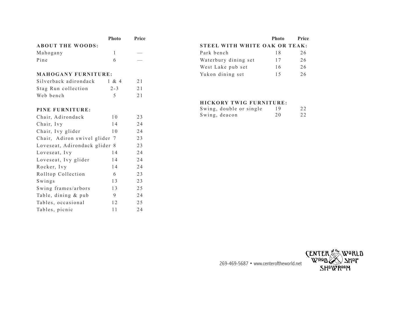|                            | <b>Photo</b> | Price |  |  |
|----------------------------|--------------|-------|--|--|
| <b>ABOUT THE WOODS:</b>    |              |       |  |  |
| Mahogany                   |              |       |  |  |
| Pine                       | 6            |       |  |  |
|                            |              |       |  |  |
| <b>MAHOGANY FURNITURE:</b> |              |       |  |  |
| Silverback adirondack      | 1 & 4        | 2.1   |  |  |
| Stag Run collection        | $2 - 3$      | 21    |  |  |

Web bench 5 21

| <b>Photo</b> | Price                         |
|--------------|-------------------------------|
|              |                               |
| 18           | 26                            |
| 17           | 26                            |
| 16           | 26                            |
| 15           | 26                            |
|              | STEEL WITH WHITE OAK OR TEAK: |

#### **HICKORY TWIG FURNITURE:**

| Swing, double or single | 19 | 22 |
|-------------------------|----|----|
| Swing, deacon           | 20 | 22 |

| PINE FURNITURE:               |    |    |
|-------------------------------|----|----|
| Chair, Adirondack             | 10 | 23 |
| Chair, Ivy                    | 14 | 24 |
| Chair, Ivy glider             | 10 | 24 |
| Chair, Adiron swivel glider 7 |    | 23 |
| Loveseat, Adirondack glider 8 |    | 23 |
| Loveseat, Ivy                 | 14 | 24 |
| Loveseat, Ivy glider          | 14 | 24 |
| Rocker, Ivy                   | 14 | 24 |
| Rolltop Collection            | 6  | 23 |
| Swings                        | 13 | 23 |
| Swing frames/arbors           | 13 | 25 |
| Table, dining & pub           | 9  | 24 |
| Tables, occasional            | 12 | 25 |
| Tables, picnic                | 11 | 24 |

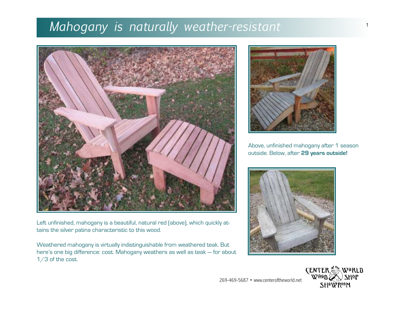## *Mahogany is naturally weather-resistant*



Left unfinished, mahogany is a beautiful, natural red (above), which quickly attains the silver patina characteristic to this wood.

Weathered mahogany is virtually indistinguishable from weathered teak. But here's one big difference: cost. Mahogany weathers as well as teak — for about 1/3 of the cost.



Above, unfinished mahogany after 1 season outside. Below, after **29 years outside!**





1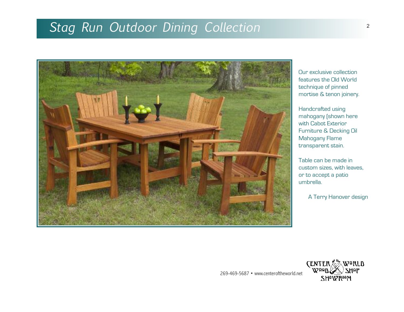## *Stag Run Outdoor Dining Collection*



Our exclusive collection features the Old World technique of pinned mortise & tenon joinery.

Handcrafted using mahogany (shown here with Cabot Exterior Furniture & Decking Oil Mahogany Flame transparent stain.

Table can be made in custom sizes, with leaves, or to accept a patio umbrella.

A Terry Hanover design

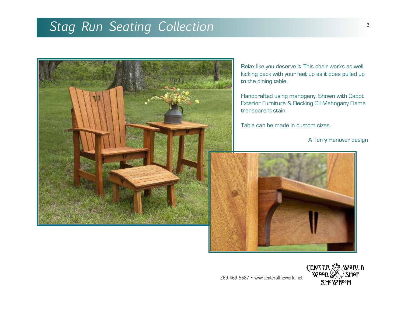# *Stag Run Seating Collection*



Relax like you deserve it. This chair works as well kicking back with your feet up as it does pulled up to the dining table.

Handcrafted using mahogany. Shown with Cabot Exterior Furniture & Decking Oil Mahogany Flame transparent stain.

Table can be made in custom sizes.

A Terry Hanover design



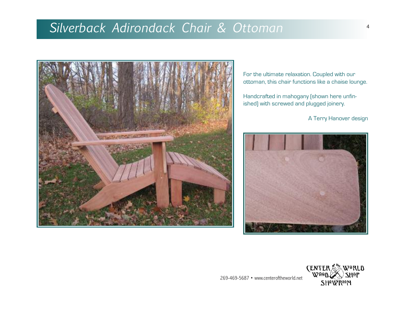## *Silverback Adirondack Chair & Ottoman*



For the ultimate relaxation. Coupled with our ottoman, this chair functions like a chaise lounge.

Handcrafted in mahogany (shown here unfinished) with screwed and plugged joinery.

A Terry Hanover design



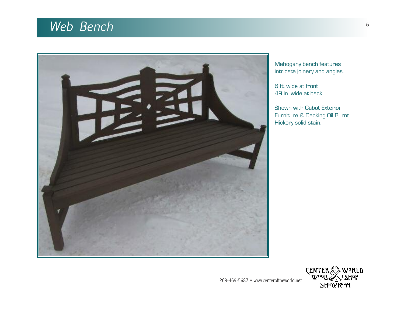## *Web Bench*



Mahogany bench features intricate joinery and angles.

6 ft. wide at front 49 in. wide at back

Shown with Cabot Exterior Furniture & Decking Oil Burnt Hickory solid stain.

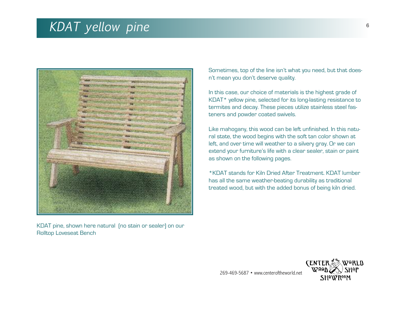#### *KDAT yellow pine*



KDAT pine, shown here natural (no stain or sealer) on our Rolltop Loveseat Bench

Sometimes, top of the line isn't what you need, but that doesn't mean you don't deserve quality.

In this case, our choice of materials is the highest grade of KDAT\* yellow pine, selected for its long-lasting resistance to termites and decay. These pieces utilize stainless steel fasteners and powder coated swivels.

Like mahogany, this wood can be left unfinished. In this natural state, the wood begins with the soft tan color shown at left, and over time will weather to a silvery gray. Or we can extend your furniture's life with a clear sealer, stain or paint as shown on the following pages.

\*KDAT stands for Kiln Dried After Treatment. KDAT lumber has all the same weather-beating durability as traditional treated wood, but with the added bonus of being kiln dried.

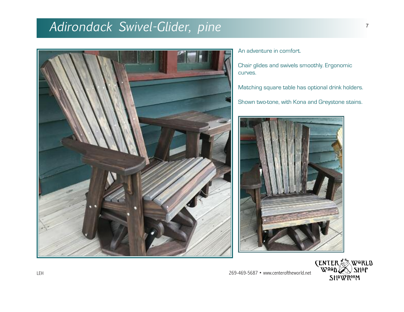### *Adirondack Swivel-Glider, pine* 77



An adventure in comfort.

Chair glides and swivels smoothly. Ergonomic curves.

Matching square table has optional drink holders.

Shown two-tone, with Kona and Greystone stains.



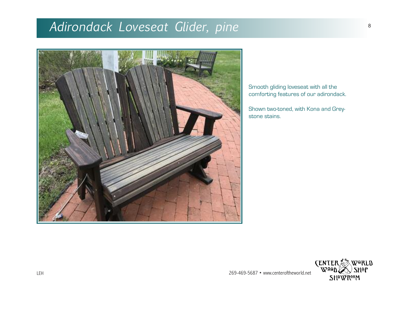## *Adirondack Loveseat Glider, pine*



Smooth gliding loveseat with all the comforting features of our adirondack.

Shown two-toned, with Kona and Greystone stains.

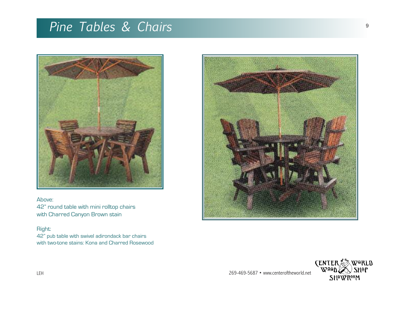## *Pine Tables & Chairs*



Above: 42" round table with mini rolltop chairs with Charred Canyon Brown stain

#### Right:

42" pub table with swivel adirondack bar chairs with two-tone stains: Kona and Charred Rosewood



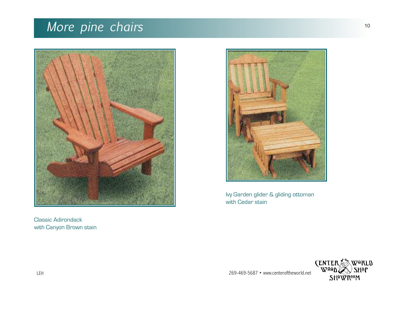## *More pine chairs*



Classic Adirondack with Canyon Brown stain



Ivy Garden glider & gliding ottoman with Cedar stain

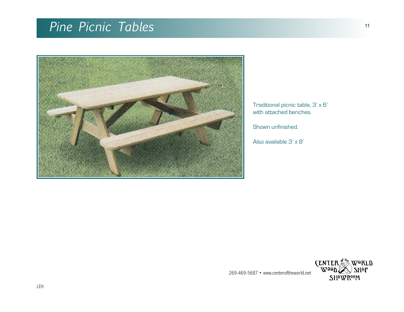## *Pine Picnic Tables*



Traditional picnic table, 3' x 6' with attached benches.

Shown unfinished.

Also available 3' x 8'

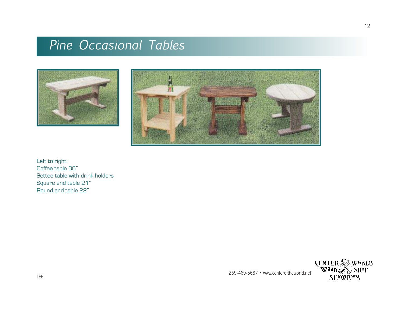### *Pine Occasional Tables*





Left to right: Coffee table 36" Settee table with drink holders Square end table 21" Round end table 22"



269-469-5687 • www.centeroftheworld.net

12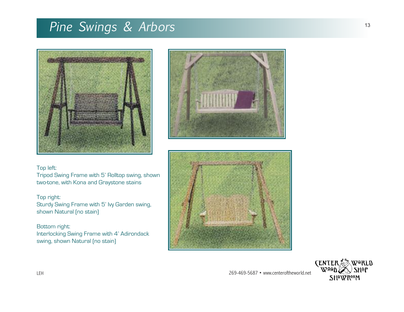## *Pine Swings & Arbors*





#### Top left:

Tripod Swing Frame with 5' Rolltop swing, shown two-tone, with Kona and Graystone stains

#### Top right:

Sturdy Swing Frame with 5' Ivy Garden swing, shown Natural (no stain)

Bottom right: Interlocking Swing Frame with 4' Adirondack swing, shown Natural (no stain)



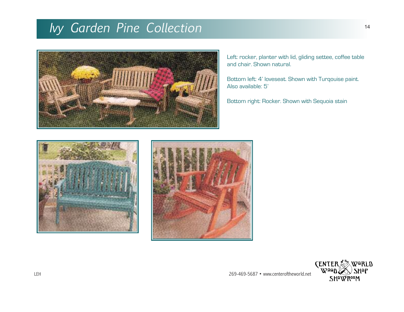## *Ivy Garden Pine Collection*



Left: rocker, planter with lid, gliding settee, coffee table and chair. Shown natural.

Bottom left: 4' loveseat. Shown with Turqouise paint. Also available: 5'

Bottom right: Rocker. Shown with Sequoia stain





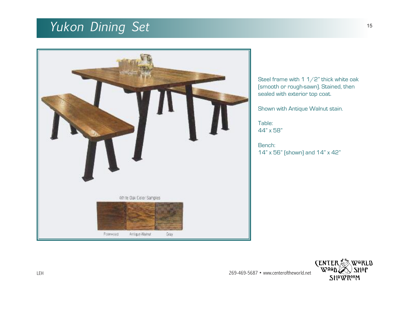## *Yukon Dining Set*



Steel frame with  $1 / 2$ " thick white oak (smooth or rough-sawn). Stained, then sealed with exterior top coat.

Shown with Antique Walnut stain.

Table: 44" x 58"

Bench: 14" x 56" (shown) and 14" x 42"

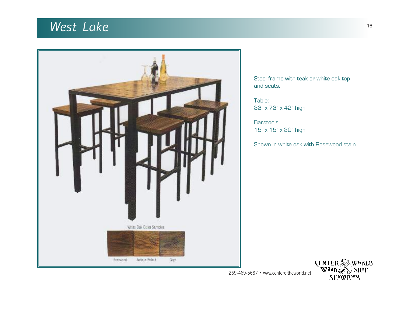## *West Lake*



Steel frame with teak or white oak top and seats.

Table: 33" x 73" x 42" high

Barstools: 15" x 15" x 30" high

Shown in white oak with Rosewood stain

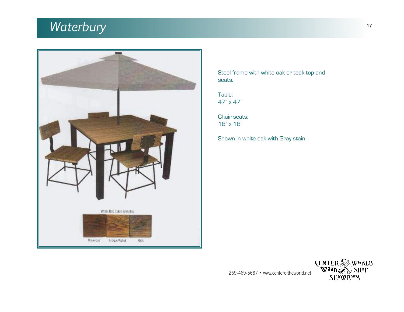## *Waterbury*



Steel frame with white oak or teak top and seats.

Table: 47" x 47"

Chair seats: 18" x 18"

Shown in white oak with Gray stain

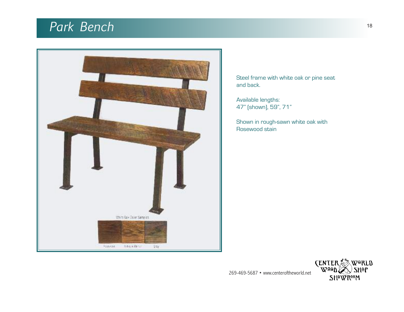## *Park Bench*



Steel frame with white oak or pine seat and back.

Available lengths: 47" (shown), 59", 71"

Shown in rough-sawn white oak with Rosewood stain

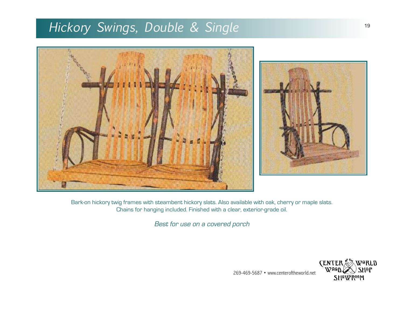## *Hickory Swings, Double & Single*



Bark-on hickory twig frames with steambent hickory slats. Also available with oak, cherry or maple slats. Chains for hanging included. Finished with a clear, exterior-grade oil.

Best for use on <sup>a</sup> covered porch